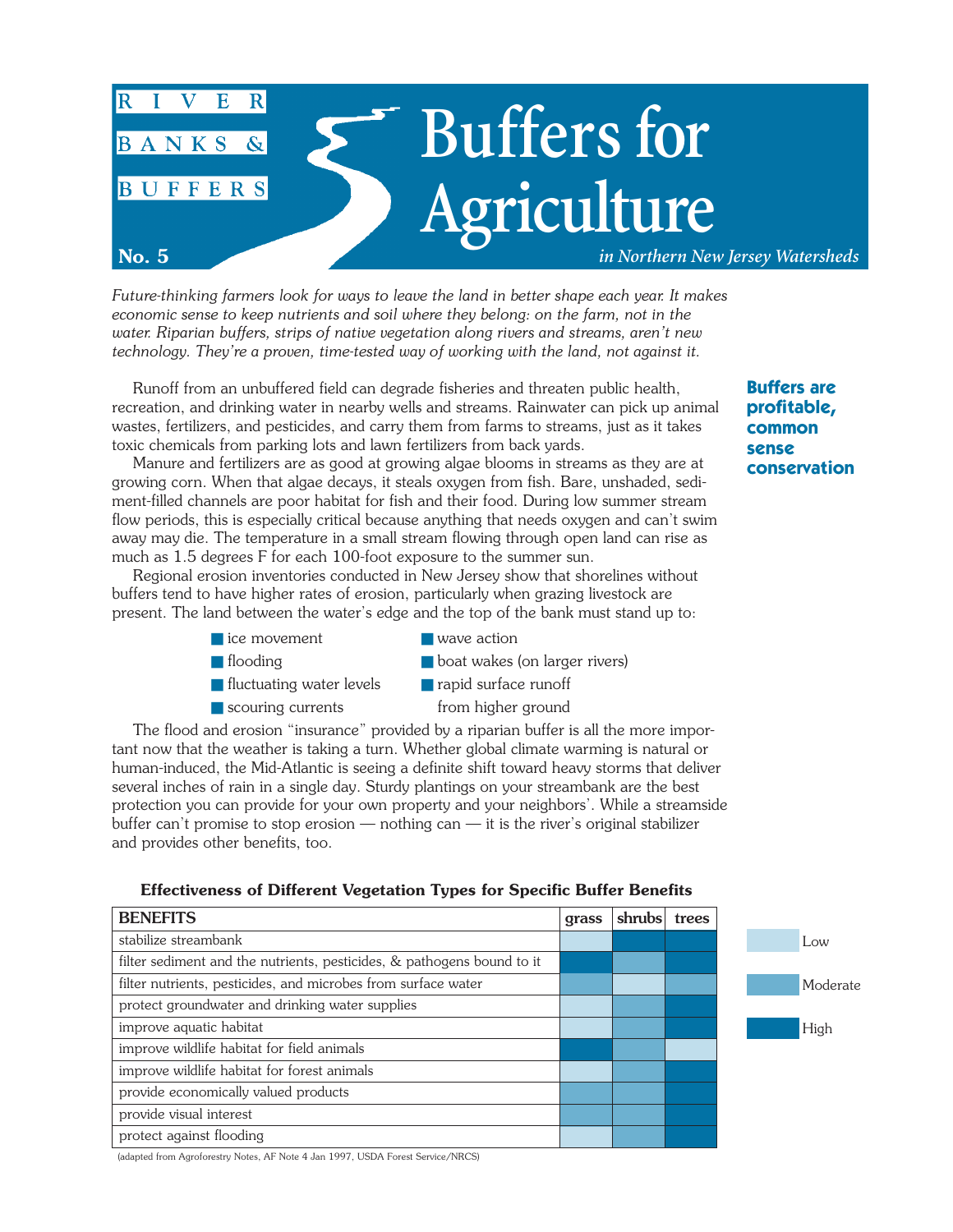

*Future-thinking farmers look for ways to leave the land in better shape each year. It makes economic sense to keep nutrients and soil where they belong: on the farm, not in the water. Riparian buffers, strips of native vegetation along rivers and streams, aren't new technology. They're a proven, time-tested way of working with the land, not against it.*

Runoff from an unbuffered field can degrade fisheries and threaten public health, recreation, and drinking water in nearby wells and streams. Rainwater can pick up animal wastes, fertilizers, and pesticides, and carry them from farms to streams, just as it takes toxic chemicals from parking lots and lawn fertilizers from back yards.

Manure and fertilizers are as good at growing algae blooms in streams as they are at growing corn. When that algae decays, it steals oxygen from fish. Bare, unshaded, sediment-filled channels are poor habitat for fish and their food. During low summer stream flow periods, this is especially critical because anything that needs oxygen and can't swim away may die. The temperature in a small stream flowing through open land can rise as much as 1.5 degrees F for each 100-foot exposure to the summer sun.

Regional erosion inventories conducted in New Jersey show that shorelines without buffers tend to have higher rates of erosion, particularly when grazing livestock are present. The land between the water's edge and the top of the bank must stand up to:

- ice movement wave action
- 
- fluctuating water levels rapid surface runoff
- 
- flooding boat wakes (on larger rivers)
	-

■ scouring currents from higher ground

The flood and erosion "insurance" provided by a riparian buffer is all the more important now that the weather is taking a turn. Whether global climate warming is natural or human-induced, the Mid-Atlantic is seeing a definite shift toward heavy storms that deliver several inches of rain in a single day. Sturdy plantings on your streambank are the best protection you can provide for your own property and your neighbors'. While a streamside buffer can't promise to stop erosion — nothing can — it is the river's original stabilizer and provides other benefits, too.



**Effectiveness of Different Vegetation Types for Specific Buffer Benefits**

(adapted from Agroforestry Notes, AF Note 4 Jan 1997, USDA Forest Service/NRCS)

**Buffers are profitable, common sense conservation**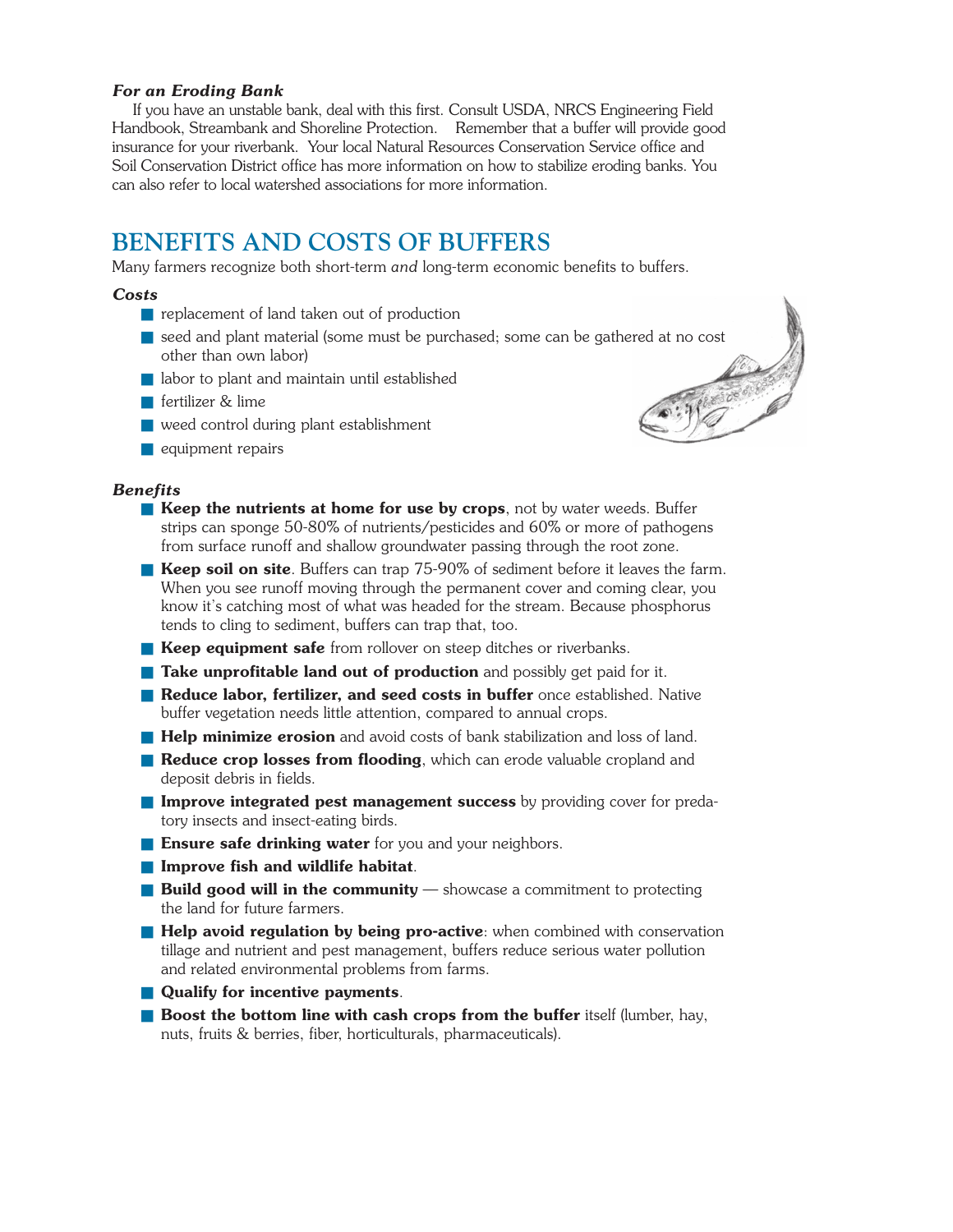### *For an Eroding Bank*

If you have an unstable bank, deal with this first. Consult USDA, NRCS Engineering Field Handbook, Streambank and Shoreline Protection. Remember that a buffer will provide good insurance for your riverbank. Your local Natural Resources Conservation Service office and Soil Conservation District office has more information on how to stabilize eroding banks. You can also refer to local watershed associations for more information.

# **BENEFITS AND COSTS OF BUFFERS**

Many farmers recognize both short-term *and* long-term economic benefits to buffers.

### *Costs*

- replacement of land taken out of production
- seed and plant material (some must be purchased; some can be gathered at no cost other than own labor)
- labor to plant and maintain until established
- fertilizer & lime
- weed control during plant establishment
- equipment repairs

#### *Benefits*

- **Keep the nutrients at home for use by crops**, not by water weeds. Buffer strips can sponge 50-80% of nutrients/pesticides and 60% or more of pathogens from surface runoff and shallow groundwater passing through the root zone.
- **Keep soil on site**. Buffers can trap 75-90% of sediment before it leaves the farm. When you see runoff moving through the permanent cover and coming clear, you know it's catching most of what was headed for the stream. Because phosphorus tends to cling to sediment, buffers can trap that, too.
- **Keep equipment safe** from rollover on steep ditches or riverbanks.
- **Take unprofitable land out of production** and possibly get paid for it.
- **Reduce labor, fertilizer, and seed costs in buffer** once established. Native buffer vegetation needs little attention, compared to annual crops.
- **Help minimize erosion** and avoid costs of bank stabilization and loss of land.
- **Reduce crop losses from flooding**, which can erode valuable cropland and deposit debris in fields.
- **Improve integrated pest management success** by providing cover for predatory insects and insect-eating birds.
- **Ensure safe drinking water** for you and your neighbors.
- **Improve fish and wildlife habitat**.
- **Build good will in the community** showcase a commitment to protecting the land for future farmers.
- **Help avoid regulation by being pro-active**: when combined with conservation tillage and nutrient and pest management, buffers reduce serious water pollution and related environmental problems from farms.
- **Qualify for incentive payments**.
- **Boost the bottom line with cash crops from the buffer** itself (lumber, hay, nuts, fruits & berries, fiber, horticulturals, pharmaceuticals).

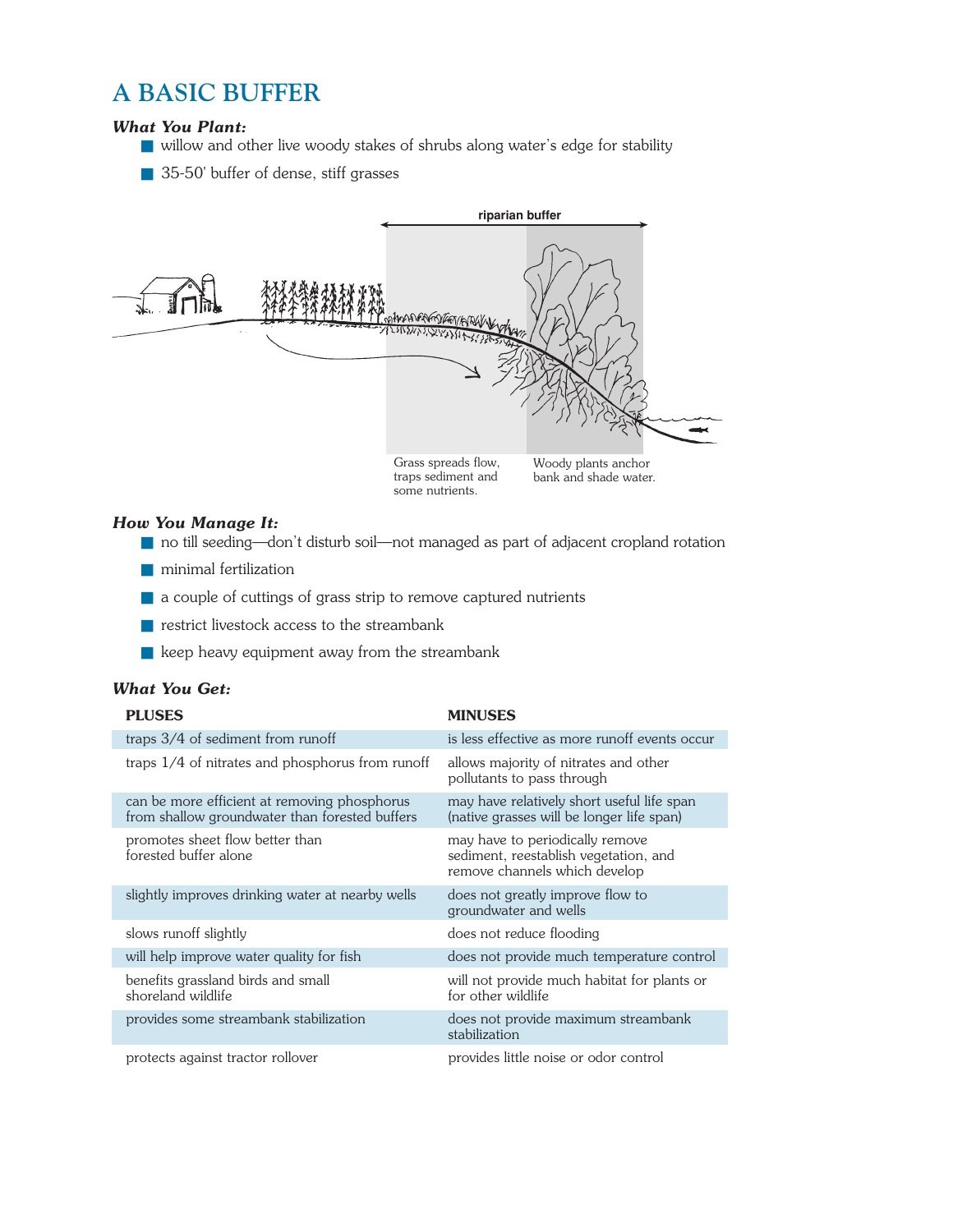# **A BASIC BUFFER**

## *What You Plant:*

- willow and other live woody stakes of shrubs along water's edge for stability
- 35-50' buffer of dense, stiff grasses



### *How You Manage It:*

- no till seeding—don't disturb soil—not managed as part of adjacent cropland rotation
- minimal fertilization
- a couple of cuttings of grass strip to remove captured nutrients
- restrict livestock access to the streambank
- $\blacksquare$  keep heavy equipment away from the streambank

## *What You Get:*

| <b>PLUSES</b>                                                                                  | <b>MINUSES</b>                                                                                            |
|------------------------------------------------------------------------------------------------|-----------------------------------------------------------------------------------------------------------|
| traps 3/4 of sediment from runoff                                                              | is less effective as more runoff events occur                                                             |
| traps 1/4 of nitrates and phosphorus from runoff                                               | allows majority of nitrates and other<br>pollutants to pass through                                       |
| can be more efficient at removing phosphorus<br>from shallow groundwater than forested buffers | may have relatively short useful life span<br>(native grasses will be longer life span)                   |
| promotes sheet flow better than<br>forested buffer alone                                       | may have to periodically remove<br>sediment, reestablish vegetation, and<br>remove channels which develop |
| slightly improves drinking water at nearby wells                                               | does not greatly improve flow to<br>groundwater and wells                                                 |
| slows runoff slightly                                                                          | does not reduce flooding                                                                                  |
| will help improve water quality for fish                                                       | does not provide much temperature control                                                                 |
| benefits grassland birds and small<br>shoreland wildlife                                       | will not provide much habitat for plants or<br>for other wildlife                                         |
| provides some streambank stabilization                                                         | does not provide maximum streambank<br>stabilization                                                      |
| protects against tractor rollover                                                              | provides little noise or odor control                                                                     |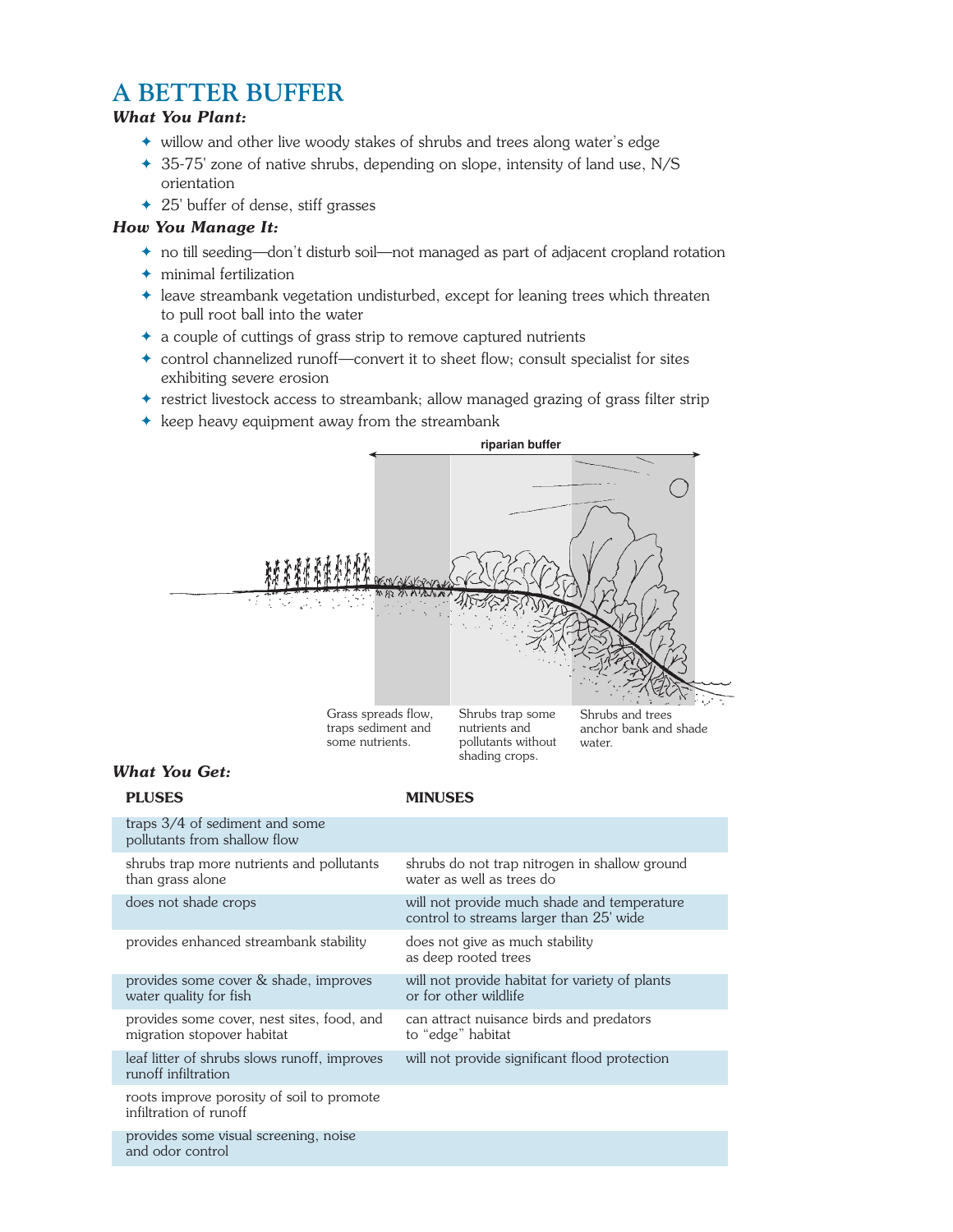# **A BETTER BUFFER**

## *What You Plant:*

- ✦ willow and other live woody stakes of shrubs and trees along water's edge
- ✦ 35-75' zone of native shrubs, depending on slope, intensity of land use, N/S orientation
- ✦ 25' buffer of dense, stiff grasses

## *How You Manage It:*

- ✦ no till seeding—don't disturb soil—not managed as part of adjacent cropland rotation
- ✦ minimal fertilization
- ✦ leave streambank vegetation undisturbed, except for leaning trees which threaten to pull root ball into the water
- ✦ a couple of cuttings of grass strip to remove captured nutrients
- ✦ control channelized runoff—convert it to sheet flow; consult specialist for sites exhibiting severe erosion
- ✦ restrict livestock access to streambank; allow managed grazing of grass filter strip
- ✦ keep heavy equipment away from the streambank



## *What You Get:*

| <b>PLUSES</b>                                                            | <b>MINUSES</b>                                                                         |
|--------------------------------------------------------------------------|----------------------------------------------------------------------------------------|
| traps 3/4 of sediment and some<br>pollutants from shallow flow           |                                                                                        |
| shrubs trap more nutrients and pollutants<br>than grass alone            | shrubs do not trap nitrogen in shallow ground<br>water as well as trees do             |
| does not shade crops                                                     | will not provide much shade and temperature<br>control to streams larger than 25' wide |
| provides enhanced streambank stability                                   | does not give as much stability<br>as deep rooted trees                                |
| provides some cover & shade, improves<br>water quality for fish          | will not provide habitat for variety of plants<br>or for other wildlife                |
| provides some cover, nest sites, food, and<br>migration stopover habitat | can attract nuisance birds and predators<br>to "edge" habitat                          |
| leaf litter of shrubs slows runoff, improves<br>runoff infiltration      | will not provide significant flood protection                                          |
| roots improve porosity of soil to promote<br>infiltration of runoff      |                                                                                        |
| provides some visual screening, noise<br>and odor control                |                                                                                        |
|                                                                          |                                                                                        |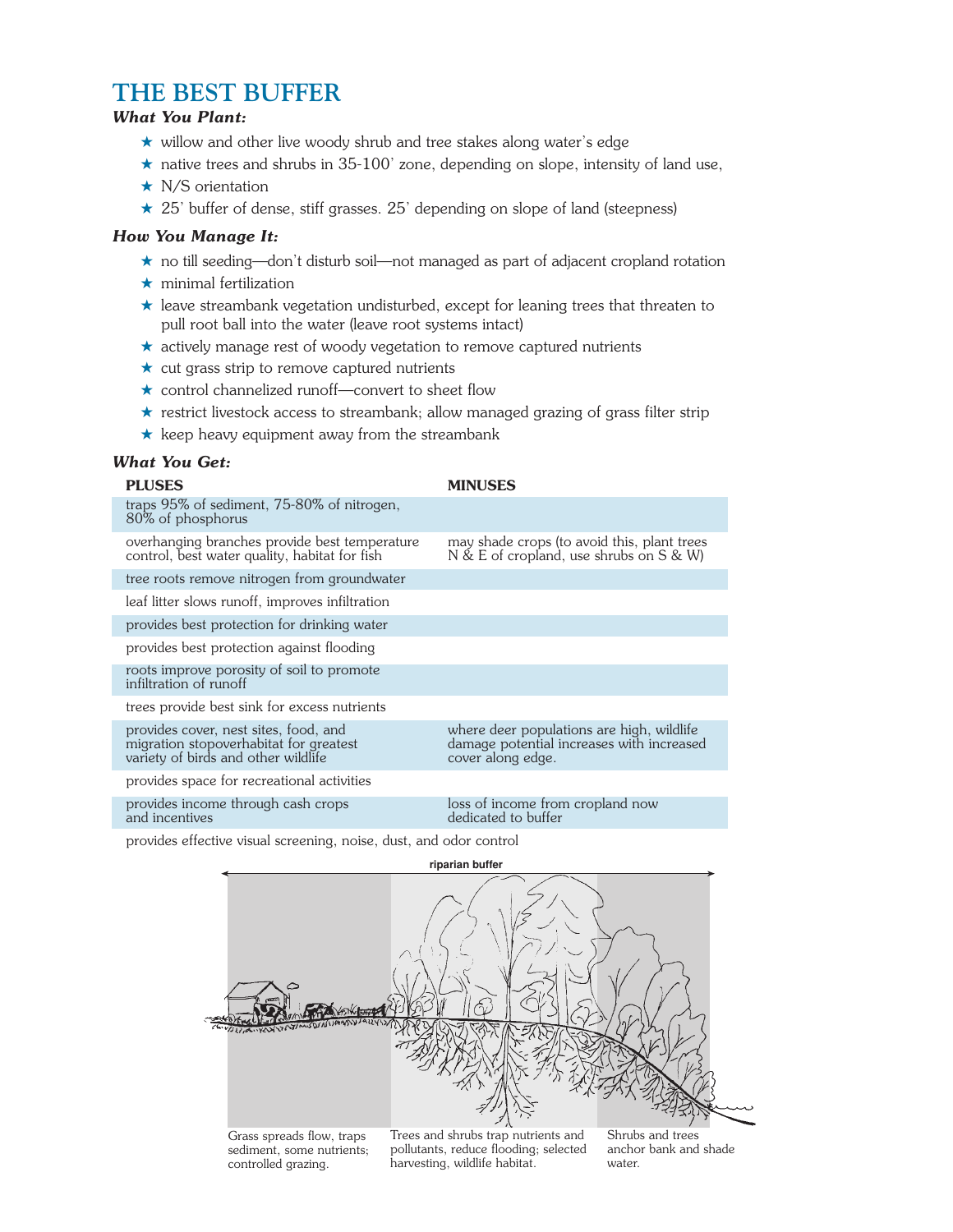# **THE BEST BUFFER**

### *What You Plant:*

- ★ willow and other live woody shrub and tree stakes along water's edge
- ★ native trees and shrubs in 35-100' zone, depending on slope, intensity of land use,
- ★ N/S orientation
- $\star$  25' buffer of dense, stiff grasses. 25' depending on slope of land (steepness)

### *How You Manage It:*

- ★ no till seeding—don't disturb soil—not managed as part of adjacent cropland rotation
- $\star$  minimal fertilization
- ★ leave streambank vegetation undisturbed, except for leaning trees that threaten to pull root ball into the water (leave root systems intact)
- ★ actively manage rest of woody vegetation to remove captured nutrients
- ★ cut grass strip to remove captured nutrients
- ★ control channelized runoff—convert to sheet flow
- ★ restrict livestock access to streambank; allow managed grazing of grass filter strip
- $\star$  keep heavy equipment away from the streambank

### *What You Get:*

#### **PLUSES MINUSES**

| traps 95% of sediment, 75-80% of nitrogen,<br>80% of phosphorus                                                        |                                                                                                             |  |
|------------------------------------------------------------------------------------------------------------------------|-------------------------------------------------------------------------------------------------------------|--|
| overhanging branches provide best temperature<br>control, best water quality, habitat for fish                         | may shade crops (to avoid this, plant trees<br>N & E of cropland, use shrubs on S & W)                      |  |
| tree roots remove nitrogen from groundwater                                                                            |                                                                                                             |  |
| leaf litter slows runoff, improves infiltration                                                                        |                                                                                                             |  |
| provides best protection for drinking water                                                                            |                                                                                                             |  |
| provides best protection against flooding                                                                              |                                                                                                             |  |
| roots improve porosity of soil to promote<br>infiltration of runoff                                                    |                                                                                                             |  |
| trees provide best sink for excess nutrients                                                                           |                                                                                                             |  |
| provides cover, nest sites, food, and<br>migration stopoverhabitat for greatest<br>variety of birds and other wildlife | where deer populations are high, wildlife<br>damage potential increases with increased<br>cover along edge. |  |
| provides space for recreational activities                                                                             |                                                                                                             |  |
| provides income through cash crops<br>and incentives                                                                   | loss of income from cropland now<br>dedicated to buffer                                                     |  |
| provides effective visual screening, noise, dust, and odor control                                                     |                                                                                                             |  |
| riparian buffer                                                                                                        |                                                                                                             |  |

Grass spreads flow, traps sediment, some nutrients; controlled grazing.

Trees and shrubs trap nutrients and pollutants, reduce flooding; selected harvesting, wildlife habitat.

Shrubs and trees anchor bank and shade water.